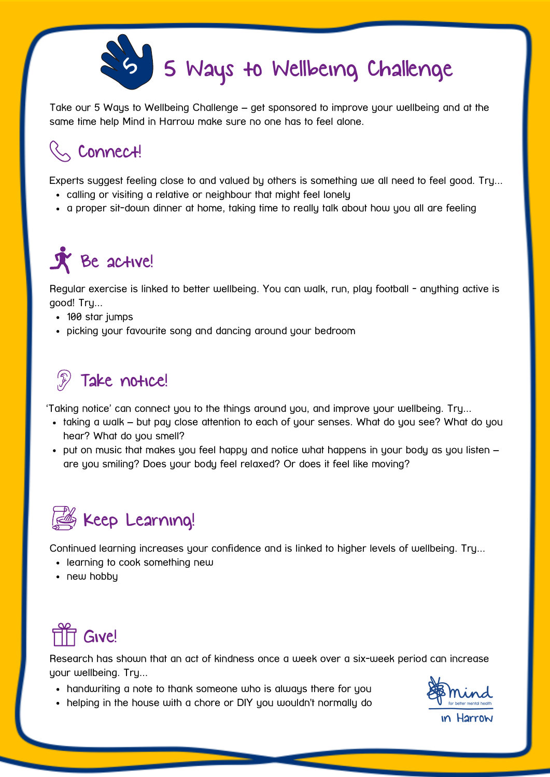

Take our 5 Ways to Wellbeing Challenge – get sponsored to improve your wellbeing and at the same time help Mind in Harrow make sure no one has to feel alone.

## $\sim$  Connect!

Experts suggest feeling close to and valued by others is something we all need to feel good. Try...

- calling or visiting a relative or neighbour that might feel lonely
- a proper sit-down dinner at home, taking time to really talk about how you all are feeling

## $\tilde{\mathbf{X}}$  Be active!

Regular exercise is linked to better wellbeing. You can walk, run, play football - anything active is good! Try...

- 100 star jumps
- picking your favourite song and dancing around your bedroom

## $\mathscr{F}$ Take notice!

'Taking notice' can connect you to the things around you, and improve your wellbeing. Try...

- taking a walk but pay close attention to each of your senses. What do you see? What do you hear? What do you smell?
- $\bullet$  put on music that makes you feel happy and notice what happens in your body as you listen  $$ are you smiling? Does your body feel relaxed? Or does it feel like moving?



Continued learning increases your confidence and is linked to higher levels of wellbeing. Try...

- learning to cook something new
- new hobby



Research has shown that an act of kindness once a week over a six-week period can increase your wellbeing. Try...

- handwriting a note to thank someone who is always there for you
- ın Harrow
- helping in the house with a chore or DIY you wouldn't normally do